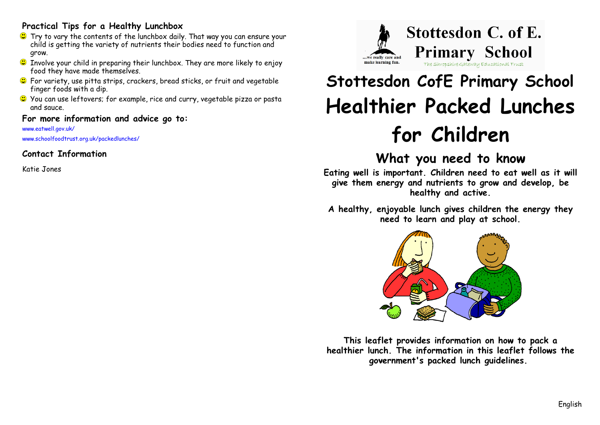#### **Practical Tips for a Healthy Lunchbox**

- Try to vary the contents of the lunchbox daily. That way you can ensure your child is getting the variety of nutrients their bodies need to function and grow.
- $\bullet$  Involve your child in preparing their lunchbox. They are more likely to enjoy food they have made themselves.
- C For variety, use pitta strips, crackers, bread sticks, or fruit and vegetable finger foods with a dip.
- You can use leftovers; for example, rice and curry, vegetable pizza or pasta and sauce.

#### **For more information and advice go to:**

www.eatwell.gov.uk/ www.schoolfoodtrust.org.uk/packedlunches/

### **Contact Information**

Katie Jones



# **Stottesdon CofE Primary School Healthier Packed Lunches for Children**

## **What you need to know**

**Eating well is important. Children need to eat well as it will give them energy and nutrients to grow and develop, be healthy and active.**

**A healthy, enjoyable lunch gives children the energy they need to learn and play at school.**



**This leaflet provides information on how to pack a healthier lunch. The information in this leaflet follows the government's packed lunch guidelines.**